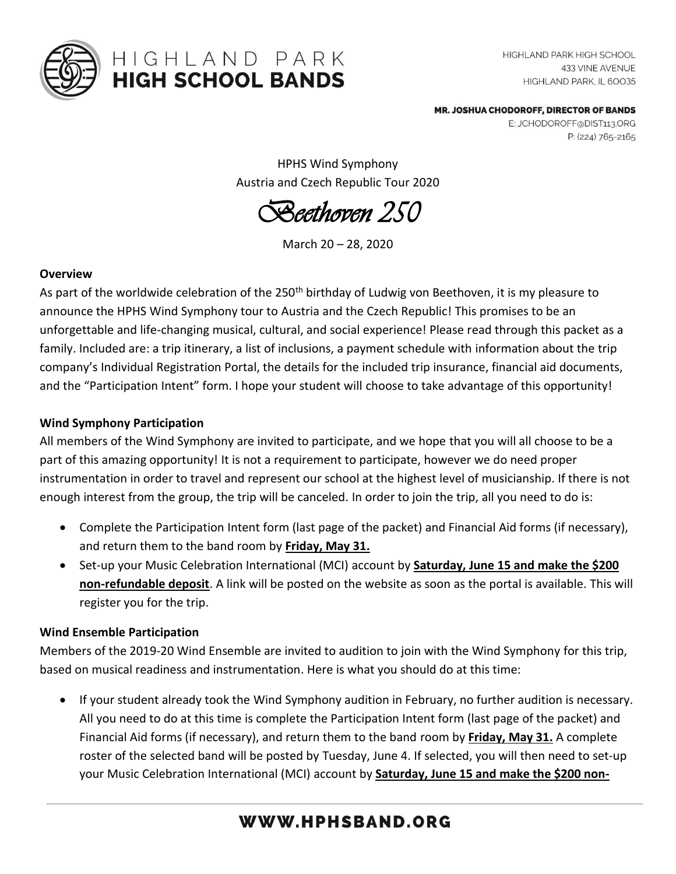

# HIGHLAND PARK **HIGH SCHOOL BANDS**

HIGHLAND PARK HIGH SCHOOL **433 VINE AVENUE** HIGHLAND PARK, IL 60035

MR. JOSHUA CHODOROFF, DIRECTOR OF BANDS

E: JCHODOROFF@DIST113.ORG P: (224) 765-2165

HPHS Wind Symphony Austria and Czech Republic Tour 2020

*Beethoven 250*

March 20 – 28, 2020

#### **Overview**

As part of the worldwide celebration of the 250<sup>th</sup> birthday of Ludwig von Beethoven, it is my pleasure to announce the HPHS Wind Symphony tour to Austria and the Czech Republic! This promises to be an unforgettable and life-changing musical, cultural, and social experience! Please read through this packet as a family. Included are: a trip itinerary, a list of inclusions, a payment schedule with information about the trip company's Individual Registration Portal, the details for the included trip insurance, financial aid documents, and the "Participation Intent" form. I hope your student will choose to take advantage of this opportunity!

### **Wind Symphony Participation**

All members of the Wind Symphony are invited to participate, and we hope that you will all choose to be a part of this amazing opportunity! It is not a requirement to participate, however we do need proper instrumentation in order to travel and represent our school at the highest level of musicianship. If there is not enough interest from the group, the trip will be canceled. In order to join the trip, all you need to do is:

- Complete the Participation Intent form (last page of the packet) and Financial Aid forms (if necessary), and return them to the band room by **Friday, May 31.**
- Set-up your Music Celebration International (MCI) account by **Saturday, June 15 and make the \$200 non-refundable deposit**. A link will be posted on the website as soon as the portal is available. This will register you for the trip.

### **Wind Ensemble Participation**

Members of the 2019-20 Wind Ensemble are invited to audition to join with the Wind Symphony for this trip, based on musical readiness and instrumentation. Here is what you should do at this time:

• If your student already took the Wind Symphony audition in February, no further audition is necessary. All you need to do at this time is complete the Participation Intent form (last page of the packet) and Financial Aid forms (if necessary), and return them to the band room by **Friday, May 31.** A complete roster of the selected band will be posted by Tuesday, June 4. If selected, you will then need to set-up your Music Celebration International (MCI) account by **Saturday, June 15 and make the \$200 non-**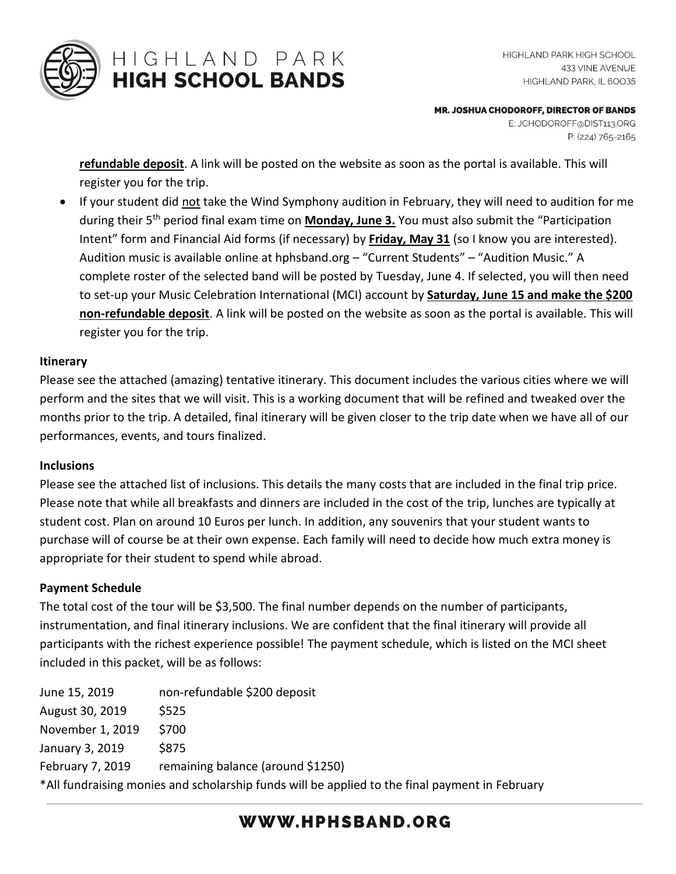

## HIGHLAND PARK **HIGH SCHOOL BANDS**

MR. JOSHUA CHODOROFF, DIRECTOR OF BANDS

E: JCHODOROFF@DIST113.ORG P: (224) 765-2165

**refundable deposit**. A link will be posted on the website as soon as the portal is available. This will register you for the trip.

• If your student did not take the Wind Symphony audition in February, they will need to audition for me during their 5<sup>th</sup> period final exam time on **Monday, June 3.** You must also submit the "Participation Intent" form and Financial Aid forms (if necessary) by **Friday, May 31** (so I know you are interested). Audition music is available online at hphsband.org – "Current Students" – "Audition Music." A complete roster of the selected band will be posted by Tuesday, June 4. If selected, you will then need to set-up your Music Celebration International (MCI) account by **Saturday, June 15 and make the \$200 non-refundable deposit**. A link will be posted on the website as soon as the portal is available. This will register you for the trip.

### **Itinerary**

Please see the attached (amazing) tentative itinerary. This document includes the various cities where we will perform and the sites that we will visit. This is a working document that will be refined and tweaked over the months prior to the trip. A detailed, final itinerary will be given closer to the trip date when we have all of our performances, events, and tours finalized.

### **Inclusions**

Please see the attached list of inclusions. This details the many costs that are included in the final trip price. Please note that while all breakfasts and dinners are included in the cost of the trip, lunches are typically at student cost. Plan on around 10 Euros per lunch. In addition, any souvenirs that your student wants to purchase will of course be at their own expense. Each family will need to decide how much extra money is appropriate for their student to spend while abroad.

### **Payment Schedule**

The total cost of the tour will be \$3,500. The final number depends on the number of participants, instrumentation, and final itinerary inclusions. We are confident that the final itinerary will provide all participants with the richest experience possible! The payment schedule, which is listed on the MCI sheet included in this packet, will be as follows:

| June 15, 2019                                                                                  | non-refundable \$200 deposit      |
|------------------------------------------------------------------------------------------------|-----------------------------------|
| August 30, 2019                                                                                | <b>S525</b>                       |
| November 1, 2019                                                                               | \$700                             |
| January 3, 2019                                                                                | \$875                             |
| February 7, 2019                                                                               | remaining balance (around \$1250) |
| *All fundraising monies and scholarship funds will be applied to the final payment in February |                                   |